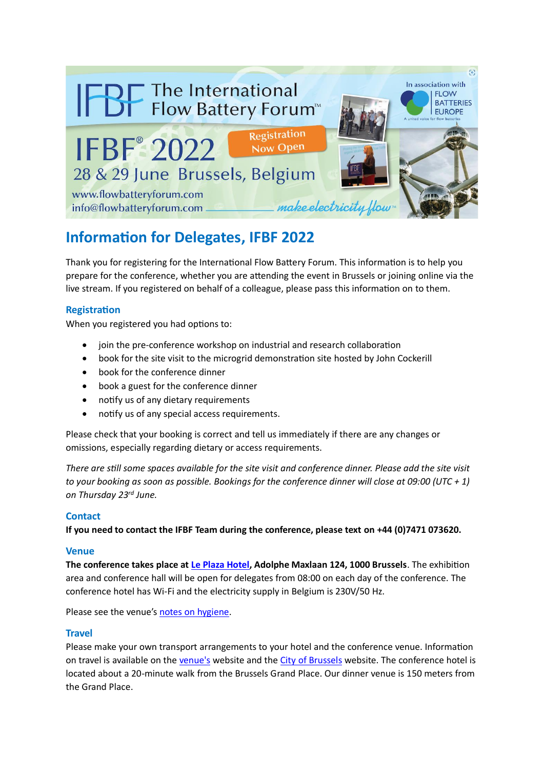

# **Information for Delegates, IFBF 2022**

Thank you for registering for the International Flow Battery Forum. This information is to help you prepare for the conference, whether you are attending the event in Brussels or joining online via the live stream. If you registered on behalf of a colleague, please pass this information on to them.

# **Registration**

When you registered you had options to:

- join the pre-conference workshop on industrial and research collaboration
- book for the site visit to the microgrid demonstration site hosted by John Cockerill
- book for the conference dinner
- book a guest for the conference dinner
- notify us of any dietary requirements
- notify us of any special access requirements.

Please check that your booking is correct and tell us immediately if there are any changes or omissions, especially regarding dietary or access requirements.

*There are still some spaces available for the site visit and conference dinner. Please add the site visit to your booking as soon as possible. Bookings for the conference dinner will close at 09:00 (UTC + 1) on Thursday 23rd June.*

# **Contact**

**If you need to contact the IFBF Team during the conference, please text on +44 (0)7471 073620.**

## **Venue**

**The conference takes place at [Le Plaza Hotel,](https://www.leplaza-brussels.be/) Adolphe Maxlaan 124, 1000 Brussels**. The exhibition area and conference hall will be open for delegates from 08:00 on each day of the conference. The conference hotel has Wi-Fi and the electricity supply in Belgium is 230V/50 Hz.

Please see the venue'[s notes on hygiene.](https://www.leplaza-brussels.be/en/sanitary-chart/)

## **Travel**

Please make your own transport arrangements to your hotel and the conference venue. Information on travel is available on the [venue's](https://www.leplaza-brussels.be/) website and the [City of Brussels](https://www.brussels.be/) website. The conference hotel is located about a 20-minute walk from the Brussels Grand Place. Our dinner venue is 150 meters from the Grand Place.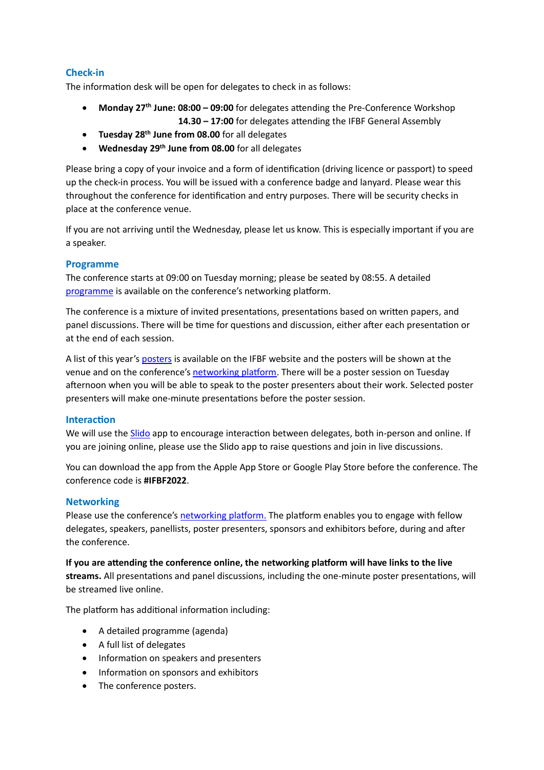# **Check-in**

The information desk will be open for delegates to check in as follows:

- **Monday 27th June: 08:00 – 09:00** for delegates attending the Pre-Conference Workshop **14.30 – 17:00** for delegates attending the IFBF General Assembly
- **Tuesday 28th June from 08.00** for all delegates
- **Wednesday 29th June from 08.00** for all delegates

Please bring a copy of your invoice and a form of identification (driving licence or passport) to speed up the check-in process. You will be issued with a conference badge and lanyard. Please wear this throughout the conference for identification and entry purposes. There will be security checks in place at the conference venue.

If you are not arriving until the Wednesday, please let us know. This is especially important if you are a speaker.

# **Programme**

The conference starts at 09:00 on Tuesday morning; please be seated by 08:55. A detailed [programme](https://ifbf-2022.b2match.io/components/21461) is available on the conference's networking platform.

The conference is a mixture of invited presentations, presentations based on written papers, and panel discussions. There will be time for questions and discussion, either after each presentation or at the end of each session.

A list of this year's [posters](https://flowbatteryforum.com/posters/) is available on the IFBF website and the posters will be shown at the venue and on the conference's [networking platform.](https://ifbf-2022.b2match.io/) There will be a poster session on Tuesday afternoon when you will be able to speak to the poster presenters about their work. Selected poster presenters will make one-minute presentations before the poster session.

## **Interaction**

We will use the [Slido](https://www.slido.com/) app to encourage interaction between delegates, both in-person and online. If you are joining online, please use the Slido app to raise questions and join in live discussions.

You can download the app from the Apple App Store or Google Play Store before the conference. The conference code is **#IFBF2022**.

## **Networking**

Please use the conference's [networking platform.](https://ifbf-2022.b2match.io/) The platform enables you to engage with fellow delegates, speakers, panellists, poster presenters, sponsors and exhibitors before, during and after the conference.

**If you are attending the conference online, the networking platform will have links to the live streams.** All presentations and panel discussions, including the one-minute poster presentations, will be streamed live online.

The platform has additional information including:

- A detailed programme (agenda)
- A full list of delegates
- Information on speakers and presenters
- Information on sponsors and exhibitors
- The conference posters.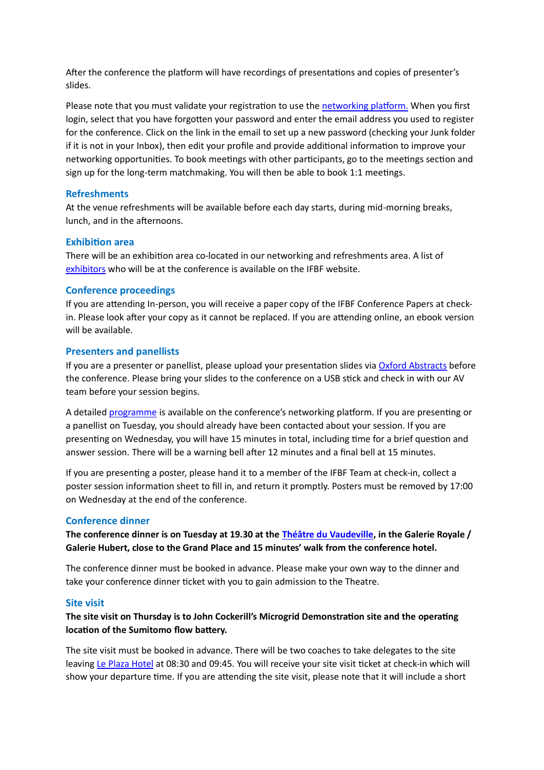After the conference the platform will have recordings of presentations and copies of presenter's slides.

Please note that you must validate your registration to use the [networking platform.](https://ifbf-2022.b2match.io/) When you first login, select that you have forgotten your password and enter the email address you used to register for the conference. Click on the link in the email to set up a new password (checking your Junk folder if it is not in your Inbox), then edit your profile and provide additional information to improve your networking opportunities. To book meetings with other participants, go to the meetings section and sign up for the long-term matchmaking. You will then be able to book 1:1 meetings.

## **Refreshments**

At the venue refreshments will be available before each day starts, during mid-morning breaks, lunch, and in the afternoons.

#### **Exhibition area**

There will be an exhibition area co-located in our networking and refreshments area. A list of [exhibitors](https://flowbatteryforum.com/exhibitors/) who will be at the conference is available on the IFBF website.

#### **Conference proceedings**

If you are attending In-person, you will receive a paper copy of the IFBF Conference Papers at checkin. Please look after your copy as it cannot be replaced. If you are attending online, an ebook version will be available.

#### **Presenters and panellists**

If you are a presenter or panellist, please upload your presentation slides via [Oxford Abstracts](https://app.oxfordabstracts.com/stages/3601/submitter) before the conference. Please bring your slides to the conference on a USB stick and check in with our AV team before your session begins.

A detaile[d programme](https://ifbf-2022.b2match.io/components/21461) is available on the conference's networking platform. If you are presenting or a panellist on Tuesday, you should already have been contacted about your session. If you are presenting on Wednesday, you will have 15 minutes in total, including time for a brief question and answer session. There will be a warning bell after 12 minutes and a final bell at 15 minutes.

If you are presenting a poster, please hand it to a member of the IFBF Team at check-in, collect a poster session information sheet to fill in, and return it promptly. Posters must be removed by 17:00 on Wednesday at the end of the conference.

## **Conference dinner**

**The conference dinner is on Tuesday at 19.30 at the [Théâtre du Vaudeville,](https://www.chouxdebruxelles.be/fr/salles-devenement/theatre-vaudeville/) in the Galerie Royale / Galerie Hubert, close to the Grand Place and 15 minutes' walk from the conference hotel.**

The conference dinner must be booked in advance. Please make your own way to the dinner and take your conference dinner ticket with you to gain admission to the Theatre.

#### **Site visit**

# **The site visit on Thursday is to John Cockerill's Microgrid Demonstration site and the operating location of the Sumitomo flow battery.**

The site visit must be booked in advance. There will be two coaches to take delegates to the site leaving [Le Plaza Hotel](https://www.leplaza-brussels.be/) at 08:30 and 09:45. You will receive your site visit ticket at check-in which will show your departure time. If you are attending the site visit, please note that it will include a short